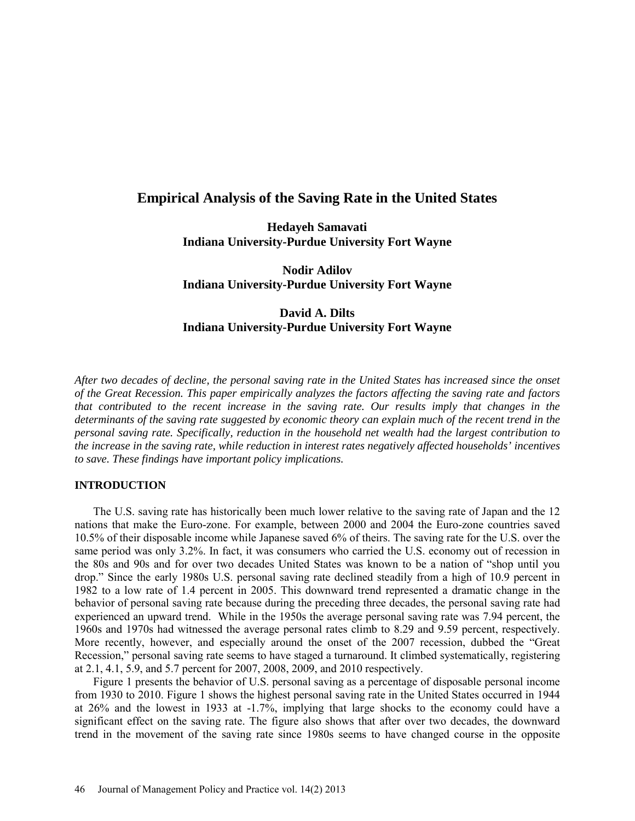## **Empirical Analysis of the Saving Rate in the United States**

**Hedayeh Samavati Indiana University-Purdue University Fort Wayne**

**Nodir Adilov Indiana University-Purdue University Fort Wayne**

# **David A. Dilts Indiana University-Purdue University Fort Wayne**

*After two decades of decline, the personal saving rate in the United States has increased since the onset of the Great Recession. This paper empirically analyzes the factors affecting the saving rate and factors that contributed to the recent increase in the saving rate. Our results imply that changes in the determinants of the saving rate suggested by economic theory can explain much of the recent trend in the personal saving rate. Specifically, reduction in the household net wealth had the largest contribution to the increase in the saving rate, while reduction in interest rates negatively affected households' incentives to save. These findings have important policy implications.* 

## **INTRODUCTION**

The U.S. saving rate has historically been much lower relative to the saving rate of Japan and the 12 nations that make the Euro-zone. For example, between 2000 and 2004 the Euro-zone countries saved 10.5% of their disposable income while Japanese saved 6% of theirs. The saving rate for the U.S. over the same period was only 3.2%. In fact, it was consumers who carried the U.S. economy out of recession in the 80s and 90s and for over two decades United States was known to be a nation of "shop until you drop." Since the early 1980s U.S. personal saving rate declined steadily from a high of 10.9 percent in 1982 to a low rate of 1.4 percent in 2005. This downward trend represented a dramatic change in the behavior of personal saving rate because during the preceding three decades, the personal saving rate had experienced an upward trend. While in the 1950s the average personal saving rate was 7.94 percent, the 1960s and 1970s had witnessed the average personal rates climb to 8.29 and 9.59 percent, respectively. More recently, however, and especially around the onset of the 2007 recession, dubbed the "Great Recession," personal saving rate seems to have staged a turnaround. It climbed systematically, registering at 2.1, 4.1, 5.9, and 5.7 percent for 2007, 2008, 2009, and 2010 respectively.

Figure 1 presents the behavior of U.S. personal saving as a percentage of disposable personal income from 1930 to 2010. Figure 1 shows the highest personal saving rate in the United States occurred in 1944 at 26% and the lowest in 1933 at -1.7%, implying that large shocks to the economy could have a significant effect on the saving rate. The figure also shows that after over two decades, the downward trend in the movement of the saving rate since 1980s seems to have changed course in the opposite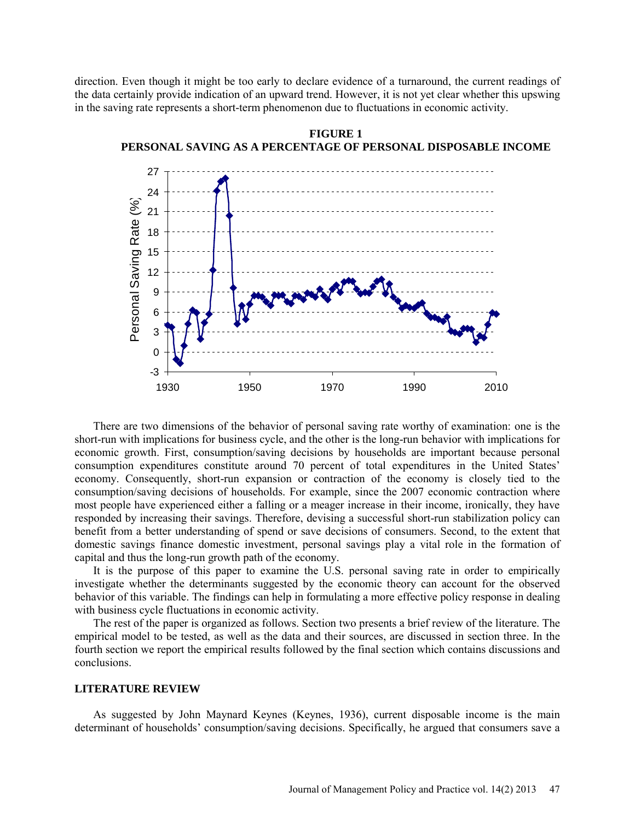direction. Even though it might be too early to declare evidence of a turnaround, the current readings of the data certainly provide indication of an upward trend. However, it is not yet clear whether this upswing in the saving rate represents a short-term phenomenon due to fluctuations in economic activity.



**FIGURE 1 PERSONAL SAVING AS A PERCENTAGE OF PERSONAL DISPOSABLE INCOME**

There are two dimensions of the behavior of personal saving rate worthy of examination: one is the short-run with implications for business cycle, and the other is the long-run behavior with implications for economic growth. First, consumption/saving decisions by households are important because personal consumption expenditures constitute around 70 percent of total expenditures in the United States' economy. Consequently, short-run expansion or contraction of the economy is closely tied to the consumption/saving decisions of households. For example, since the 2007 economic contraction where most people have experienced either a falling or a meager increase in their income, ironically, they have responded by increasing their savings. Therefore, devising a successful short-run stabilization policy can benefit from a better understanding of spend or save decisions of consumers. Second, to the extent that domestic savings finance domestic investment, personal savings play a vital role in the formation of capital and thus the long-run growth path of the economy.

It is the purpose of this paper to examine the U.S. personal saving rate in order to empirically investigate whether the determinants suggested by the economic theory can account for the observed behavior of this variable. The findings can help in formulating a more effective policy response in dealing with business cycle fluctuations in economic activity.

The rest of the paper is organized as follows. Section two presents a brief review of the literature. The empirical model to be tested, as well as the data and their sources, are discussed in section three. In the fourth section we report the empirical results followed by the final section which contains discussions and conclusions.

#### **LITERATURE REVIEW**

As suggested by John Maynard Keynes (Keynes, 1936), current disposable income is the main determinant of households' consumption/saving decisions. Specifically, he argued that consumers save a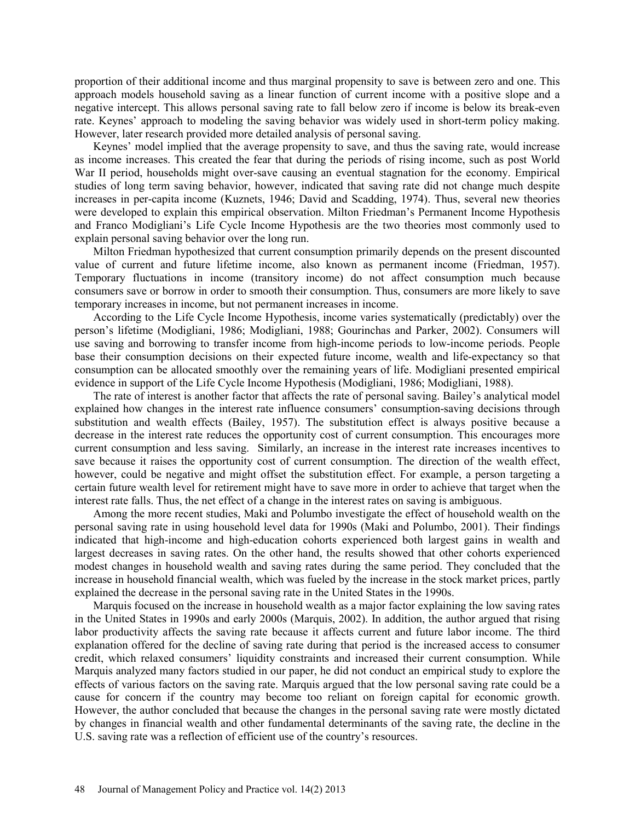proportion of their additional income and thus marginal propensity to save is between zero and one. This approach models household saving as a linear function of current income with a positive slope and a negative intercept. This allows personal saving rate to fall below zero if income is below its break-even rate. Keynes' approach to modeling the saving behavior was widely used in short-term policy making. However, later research provided more detailed analysis of personal saving.

Keynes' model implied that the average propensity to save, and thus the saving rate, would increase as income increases. This created the fear that during the periods of rising income, such as post World War II period, households might over-save causing an eventual stagnation for the economy. Empirical studies of long term saving behavior, however, indicated that saving rate did not change much despite increases in per-capita income (Kuznets, 1946; David and Scadding, 1974). Thus, several new theories were developed to explain this empirical observation. Milton Friedman's Permanent Income Hypothesis and Franco Modigliani's Life Cycle Income Hypothesis are the two theories most commonly used to explain personal saving behavior over the long run.

Milton Friedman hypothesized that current consumption primarily depends on the present discounted value of current and future lifetime income, also known as permanent income (Friedman, 1957). Temporary fluctuations in income (transitory income) do not affect consumption much because consumers save or borrow in order to smooth their consumption. Thus, consumers are more likely to save temporary increases in income, but not permanent increases in income.

According to the Life Cycle Income Hypothesis, income varies systematically (predictably) over the person's lifetime (Modigliani, 1986; Modigliani, 1988; Gourinchas and Parker, 2002). Consumers will use saving and borrowing to transfer income from high-income periods to low-income periods. People base their consumption decisions on their expected future income, wealth and life-expectancy so that consumption can be allocated smoothly over the remaining years of life. Modigliani presented empirical evidence in support of the Life Cycle Income Hypothesis (Modigliani, 1986; Modigliani, 1988).

The rate of interest is another factor that affects the rate of personal saving. Bailey's analytical model explained how changes in the interest rate influence consumers' consumption-saving decisions through substitution and wealth effects (Bailey, 1957). The substitution effect is always positive because a decrease in the interest rate reduces the opportunity cost of current consumption. This encourages more current consumption and less saving. Similarly, an increase in the interest rate increases incentives to save because it raises the opportunity cost of current consumption. The direction of the wealth effect, however, could be negative and might offset the substitution effect. For example, a person targeting a certain future wealth level for retirement might have to save more in order to achieve that target when the interest rate falls. Thus, the net effect of a change in the interest rates on saving is ambiguous.

Among the more recent studies, Maki and Polumbo investigate the effect of household wealth on the personal saving rate in using household level data for 1990s (Maki and Polumbo, 2001). Their findings indicated that high-income and high-education cohorts experienced both largest gains in wealth and largest decreases in saving rates. On the other hand, the results showed that other cohorts experienced modest changes in household wealth and saving rates during the same period. They concluded that the increase in household financial wealth, which was fueled by the increase in the stock market prices, partly explained the decrease in the personal saving rate in the United States in the 1990s.

Marquis focused on the increase in household wealth as a major factor explaining the low saving rates in the United States in 1990s and early 2000s (Marquis, 2002). In addition, the author argued that rising labor productivity affects the saving rate because it affects current and future labor income. The third explanation offered for the decline of saving rate during that period is the increased access to consumer credit, which relaxed consumers' liquidity constraints and increased their current consumption. While Marquis analyzed many factors studied in our paper, he did not conduct an empirical study to explore the effects of various factors on the saving rate. Marquis argued that the low personal saving rate could be a cause for concern if the country may become too reliant on foreign capital for economic growth. However, the author concluded that because the changes in the personal saving rate were mostly dictated by changes in financial wealth and other fundamental determinants of the saving rate, the decline in the U.S. saving rate was a reflection of efficient use of the country's resources.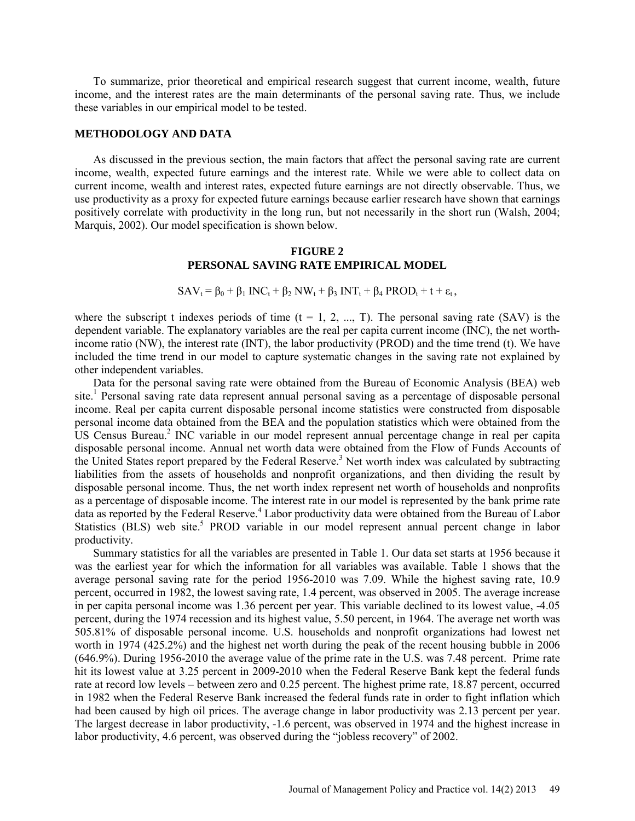To summarize, prior theoretical and empirical research suggest that current income, wealth, future income, and the interest rates are the main determinants of the personal saving rate. Thus, we include these variables in our empirical model to be tested.

#### **METHODOLOGY AND DATA**

As discussed in the previous section, the main factors that affect the personal saving rate are current income, wealth, expected future earnings and the interest rate. While we were able to collect data on current income, wealth and interest rates, expected future earnings are not directly observable. Thus, we use productivity as a proxy for expected future earnings because earlier research have shown that earnings positively correlate with productivity in the long run, but not necessarily in the short run (Walsh, 2004; Marquis, 2002). Our model specification is shown below.

#### **FIGURE 2 PERSONAL SAVING RATE EMPIRICAL MODEL**

 $SAV_t = \beta_0 + \beta_1 \text{INC}_t + \beta_2 \text{NW}_t + \beta_3 \text{ INT}_t + \beta_4 \text{ PROD}_t + t + \varepsilon_t,$ 

where the subscript t indexes periods of time  $(t = 1, 2, ..., T)$ . The personal saving rate (SAV) is the dependent variable. The explanatory variables are the real per capita current income (INC), the net worthincome ratio (NW), the interest rate (INT), the labor productivity (PROD) and the time trend (t). We have included the time trend in our model to capture systematic changes in the saving rate not explained by other independent variables.

Data for the personal saving rate were obtained from the Bureau of Economic Analysis (BEA) web site.<sup>1</sup> Personal saving rate data represent annual personal saving as a percentage of disposable personal income. Real per capita current disposable personal income statistics were constructed from disposable personal income data obtained from the BEA and the population statistics which were obtained from the US Census Bureau.<sup>2</sup> INC variable in our model represent annual percentage change in real per capita disposable personal income. Annual net worth data were obtained from the Flow of Funds Accounts of the United States report prepared by the Federal Reserve.<sup>3</sup> Net worth index was calculated by subtracting liabilities from the assets of households and nonprofit organizations, and then dividing the result by disposable personal income. Thus, the net worth index represent net worth of households and nonprofits as a percentage of disposable income. The interest rate in our model is represented by the bank prime rate data as reported by the Federal Reserve.<sup>4</sup> Labor productivity data were obtained from the Bureau of Labor Statistics (BLS) web site.<sup>5</sup> PROD variable in our model represent annual percent change in labor productivity.

Summary statistics for all the variables are presented in Table 1. Our data set starts at 1956 because it was the earliest year for which the information for all variables was available. Table 1 shows that the average personal saving rate for the period 1956-2010 was 7.09. While the highest saving rate, 10.9 percent, occurred in 1982, the lowest saving rate, 1.4 percent, was observed in 2005. The average increase in per capita personal income was 1.36 percent per year. This variable declined to its lowest value, -4.05 percent, during the 1974 recession and its highest value, 5.50 percent, in 1964. The average net worth was 505.81% of disposable personal income. U.S. households and nonprofit organizations had lowest net worth in 1974 (425.2%) and the highest net worth during the peak of the recent housing bubble in 2006 (646.9%). During 1956-2010 the average value of the prime rate in the U.S. was 7.48 percent. Prime rate hit its lowest value at 3.25 percent in 2009-2010 when the Federal Reserve Bank kept the federal funds rate at record low levels – between zero and 0.25 percent. The highest prime rate, 18.87 percent, occurred in 1982 when the Federal Reserve Bank increased the federal funds rate in order to fight inflation which had been caused by high oil prices. The average change in labor productivity was 2.13 percent per year. The largest decrease in labor productivity, -1.6 percent, was observed in 1974 and the highest increase in labor productivity, 4.6 percent, was observed during the "jobless recovery" of 2002.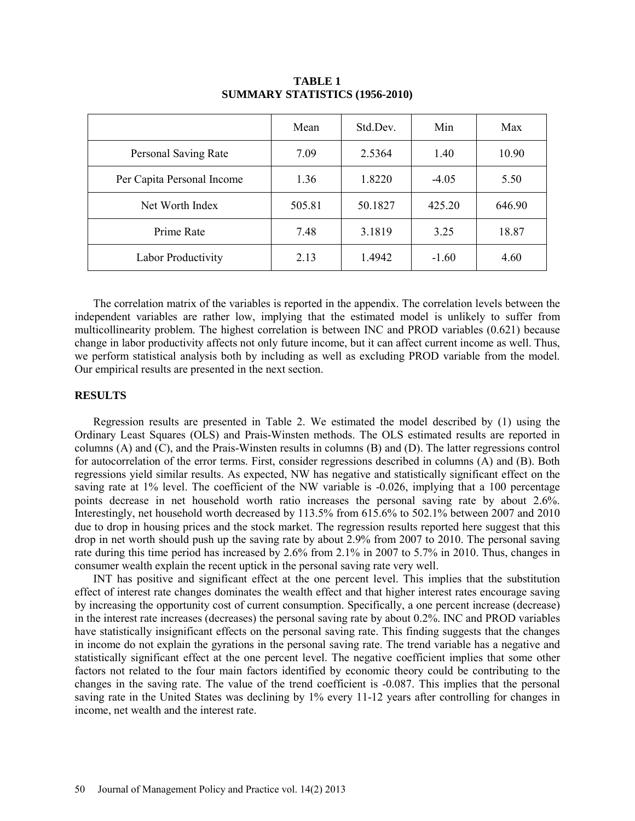|                            | Mean   | Std.Dev. | Min     | Max    |
|----------------------------|--------|----------|---------|--------|
| Personal Saving Rate       | 7.09   | 2.5364   | 1.40    | 10.90  |
| Per Capita Personal Income | 1.36   | 1.8220   | $-4.05$ | 5.50   |
| Net Worth Index            | 505.81 | 50.1827  | 425.20  | 646.90 |
| Prime Rate                 | 7.48   | 3.1819   | 3.25    | 18.87  |
| Labor Productivity         | 2.13   | 1.4942   | $-1.60$ | 4.60   |

#### **TABLE 1 SUMMARY STATISTICS (1956-2010)**

The correlation matrix of the variables is reported in the appendix. The correlation levels between the independent variables are rather low, implying that the estimated model is unlikely to suffer from multicollinearity problem. The highest correlation is between INC and PROD variables (0.621) because change in labor productivity affects not only future income, but it can affect current income as well. Thus, we perform statistical analysis both by including as well as excluding PROD variable from the model. Our empirical results are presented in the next section.

#### **RESULTS**

Regression results are presented in Table 2. We estimated the model described by (1) using the Ordinary Least Squares (OLS) and Prais-Winsten methods. The OLS estimated results are reported in columns (A) and (C), and the Prais-Winsten results in columns (B) and (D). The latter regressions control for autocorrelation of the error terms. First, consider regressions described in columns (A) and (B). Both regressions yield similar results. As expected, NW has negative and statistically significant effect on the saving rate at 1% level. The coefficient of the NW variable is -0.026, implying that a 100 percentage points decrease in net household worth ratio increases the personal saving rate by about 2.6%. Interestingly, net household worth decreased by 113.5% from 615.6% to 502.1% between 2007 and 2010 due to drop in housing prices and the stock market. The regression results reported here suggest that this drop in net worth should push up the saving rate by about 2.9% from 2007 to 2010. The personal saving rate during this time period has increased by 2.6% from 2.1% in 2007 to 5.7% in 2010. Thus, changes in consumer wealth explain the recent uptick in the personal saving rate very well.

INT has positive and significant effect at the one percent level. This implies that the substitution effect of interest rate changes dominates the wealth effect and that higher interest rates encourage saving by increasing the opportunity cost of current consumption. Specifically, a one percent increase (decrease) in the interest rate increases (decreases) the personal saving rate by about 0.2%. INC and PROD variables have statistically insignificant effects on the personal saving rate. This finding suggests that the changes in income do not explain the gyrations in the personal saving rate. The trend variable has a negative and statistically significant effect at the one percent level. The negative coefficient implies that some other factors not related to the four main factors identified by economic theory could be contributing to the changes in the saving rate. The value of the trend coefficient is -0.087. This implies that the personal saving rate in the United States was declining by 1% every 11-12 years after controlling for changes in income, net wealth and the interest rate.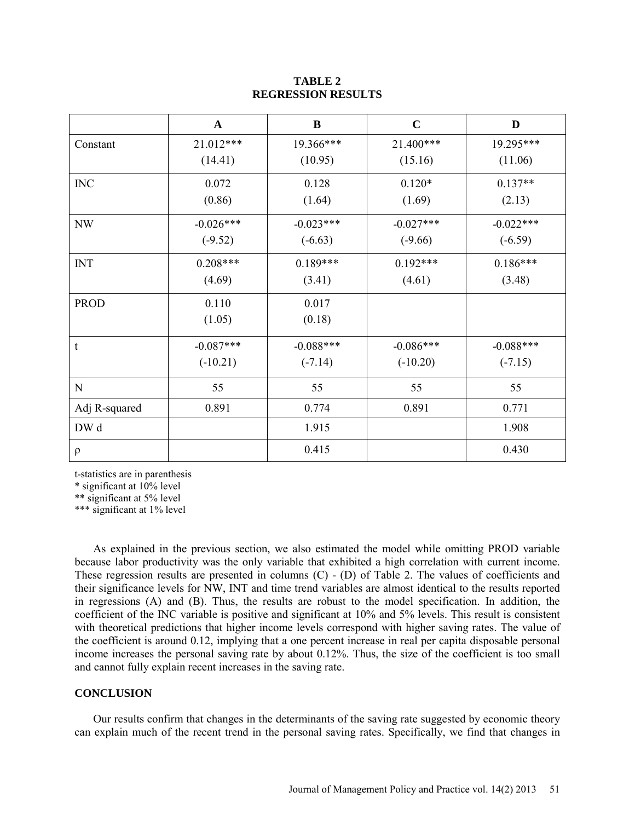#### **TABLE 2 REGRESSION RESULTS**

|               | $\mathbf{A}$ | $\bf{B}$    | $\mathbf C$ | D           |
|---------------|--------------|-------------|-------------|-------------|
| Constant      | 21.012***    | 19.366***   | 21.400***   | 19.295***   |
|               | (14.41)      | (10.95)     | (15.16)     | (11.06)     |
| <b>INC</b>    | 0.072        | 0.128       | $0.120*$    | $0.137**$   |
|               | (0.86)       | (1.64)      | (1.69)      | (2.13)      |
| NW            | $-0.026***$  | $-0.023***$ | $-0.027***$ | $-0.022***$ |
|               | $(-9.52)$    | $(-6.63)$   | $(-9.66)$   | $(-6.59)$   |
| <b>INT</b>    | $0.208***$   | $0.189***$  | $0.192***$  | $0.186***$  |
|               | (4.69)       | (3.41)      | (4.61)      | (3.48)      |
| <b>PROD</b>   | 0.110        | 0.017       |             |             |
|               | (1.05)       | (0.18)      |             |             |
| t             | $-0.087***$  | $-0.088***$ | $-0.086***$ | $-0.088***$ |
|               | $(-10.21)$   | $(-7.14)$   | $(-10.20)$  | $(-7.15)$   |
| N             | 55           | 55          | 55          | 55          |
| Adj R-squared | 0.891        | 0.774       | 0.891       | 0.771       |
| DW d          |              | 1.915       |             | 1.908       |
| $\rho$        |              | 0.415       |             | 0.430       |

t-statistics are in parenthesis

\* significant at 10% level

\*\* significant at 5% level

\*\*\* significant at 1% level

As explained in the previous section, we also estimated the model while omitting PROD variable because labor productivity was the only variable that exhibited a high correlation with current income. These regression results are presented in columns (C) - (D) of Table 2. The values of coefficients and their significance levels for NW, INT and time trend variables are almost identical to the results reported in regressions (A) and (B). Thus, the results are robust to the model specification. In addition, the coefficient of the INC variable is positive and significant at 10% and 5% levels. This result is consistent with theoretical predictions that higher income levels correspond with higher saving rates. The value of the coefficient is around 0.12, implying that a one percent increase in real per capita disposable personal income increases the personal saving rate by about 0.12%. Thus, the size of the coefficient is too small and cannot fully explain recent increases in the saving rate.

#### **CONCLUSION**

Our results confirm that changes in the determinants of the saving rate suggested by economic theory can explain much of the recent trend in the personal saving rates. Specifically, we find that changes in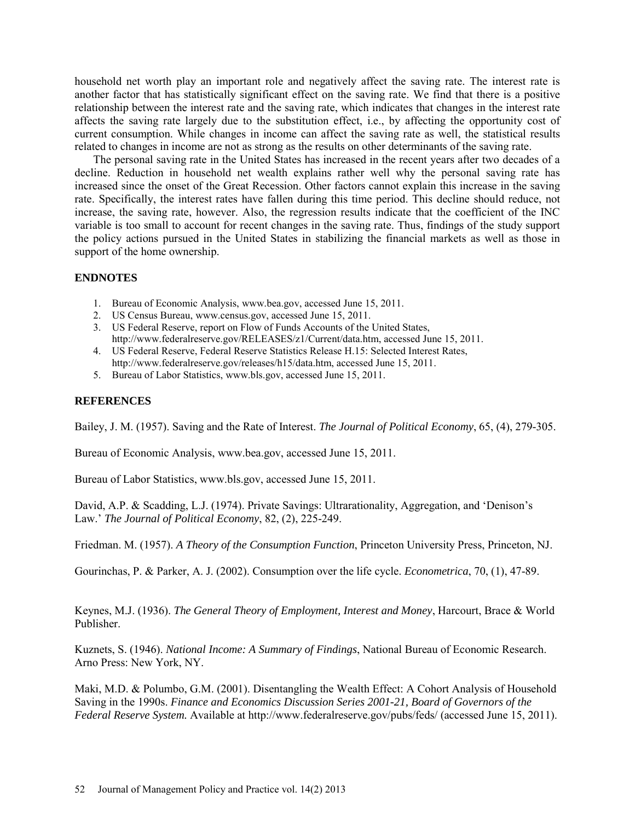household net worth play an important role and negatively affect the saving rate. The interest rate is another factor that has statistically significant effect on the saving rate. We find that there is a positive relationship between the interest rate and the saving rate, which indicates that changes in the interest rate affects the saving rate largely due to the substitution effect, i.e., by affecting the opportunity cost of current consumption. While changes in income can affect the saving rate as well, the statistical results related to changes in income are not as strong as the results on other determinants of the saving rate.

The personal saving rate in the United States has increased in the recent years after two decades of a decline. Reduction in household net wealth explains rather well why the personal saving rate has increased since the onset of the Great Recession. Other factors cannot explain this increase in the saving rate. Specifically, the interest rates have fallen during this time period. This decline should reduce, not increase, the saving rate, however. Also, the regression results indicate that the coefficient of the INC variable is too small to account for recent changes in the saving rate. Thus, findings of the study support the policy actions pursued in the United States in stabilizing the financial markets as well as those in support of the home ownership.

### **ENDNOTES**

- 1. Bureau of Economic Analysis, [www.bea.gov,](http://www.bea.gov/) accessed June 15, 2011.
- 2. US Census Bureau, [www.census.gov,](http://www.census.gov/) accessed June 15, 2011.
- 3. US Federal Reserve, report on Flow of Funds Accounts of the United States, [http://www.federalreserve.gov/RELEASES/z1/Current/data.htm,](http://www.federalreserve.gov/RELEASES/z1/Current/data.htm) accessed June 15, 2011.
- 4. US Federal Reserve, Federal Reserve Statistics Release H.15: Selected Interest Rates, [http://www.federalreserve.gov/releases/h15/data.htm,](http://www.federalreserve.gov/releases/h15/data.htm) accessed June 15, 2011.
- 5. Bureau of Labor Statistics[, www.bls.gov,](http://www.bls.gov/) accessed June 15, 2011.

### **REFERENCES**

Bailey, J. M. (1957). Saving and the Rate of Interest. *The Journal of Political Economy*, 65, (4), 279-305.

Bureau of Economic Analysis, [www.bea.gov,](http://www.bea.gov/) accessed June 15, 2011.

Bureau of Labor Statistics[, www.bls.gov,](http://www.bls.gov/) accessed June 15, 2011.

David, A.P. & Scadding, L.J. (1974). Private Savings: Ultrarationality, Aggregation, and 'Denison's Law.' *The Journal of Political Economy*, 82, (2), 225-249.

Friedman. M. (1957). *A Theory of the Consumption Function*, Princeton University Press, Princeton, NJ.

Gourinchas, P. & Parker, A. J. (2002). Consumption over the life cycle. *Econometrica*, 70, (1), 47-89.

Keynes, M.J. (1936). *The General Theory of Employment, Interest and Money*, Harcourt, Brace & World Publisher.

Kuznets, S. (1946). *National Income: A Summary of Findings*, National Bureau of Economic Research. Arno Press: New York, NY.

Maki, M.D. & Polumbo, G.M. (2001). Disentangling the Wealth Effect: A Cohort Analysis of Household Saving in the 1990s. *Finance and Economics Discussion Series 2001-21, Board of Governors of the Federal Reserve System.* Available at http://www.federalreserve.gov/pubs/feds/ (accessed June 15, 2011).